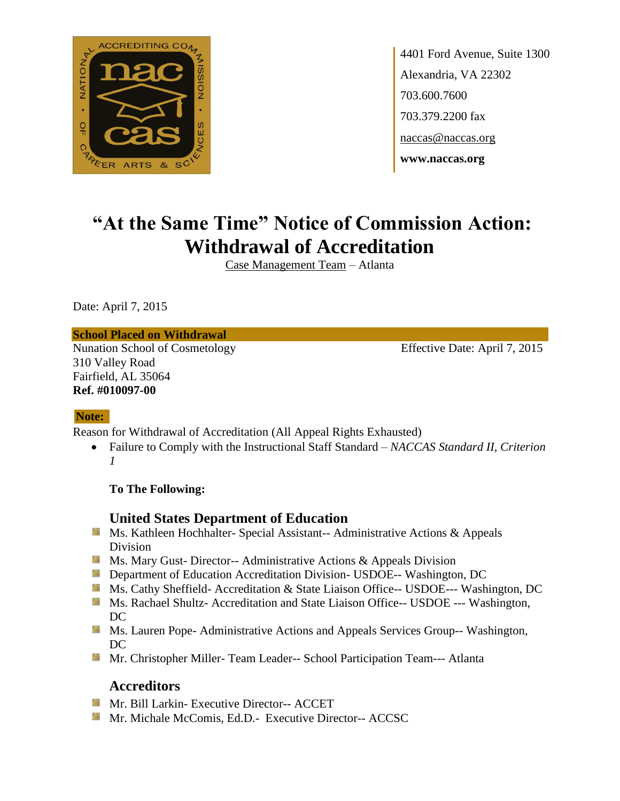

4401 Ford Avenue, Suite 1300 Alexandria, VA 22302 703.600.7600 703.379.2200 fax naccas@naccas.org **www.naccas.org**

# **"At the Same Time" Notice of Commission Action: Withdrawal of Accreditation**

Case Management Team – Atlanta

Date: April 7, 2015

#### **School Placed on Withdrawal**

Nunation School of Cosmetology Effective Date: April 7, 2015 310 Valley Road Fairfield, AL 35064 **Ref. #010097-00**

#### **Note:**

Reason for Withdrawal of Accreditation (All Appeal Rights Exhausted)

 Failure to Comply with the Instructional Staff Standard – *NACCAS Standard II, Criterion 1*

**To The Following:**

#### **United States Department of Education**

- Ms. Kathleen Hochhalter- Special Assistant-- Administrative Actions & Appeals Division
- **MS. Mary Gust- Director-- Administrative Actions & Appeals Division**
- **Department of Education Accreditation Division- USDOE-- Washington, DC**
- Ms. Cathy Sheffield- Accreditation & State Liaison Office-- USDOE--- Washington, DC
- **Ms. Rachael Shultz- Accreditation and State Liaison Office-- USDOE --- Washington,** DC
- **MS. Lauren Pope- Administrative Actions and Appeals Services Group-- Washington,** DC
- Mr. Christopher Miller- Team Leader-- School Participation Team--- Atlanta

#### **Accreditors**

- **Mr. Bill Larkin- Executive Director-- ACCET**
- Mr. Michale McComis, Ed.D.- Executive Director-- ACCSC